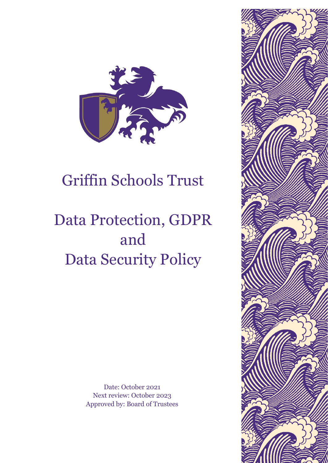

# Griffin Schools Trust

# Data Protection, GDPR and Data Security Policy

Date: October 2021 Next review: October 2023 Approved by: Board of Trustees

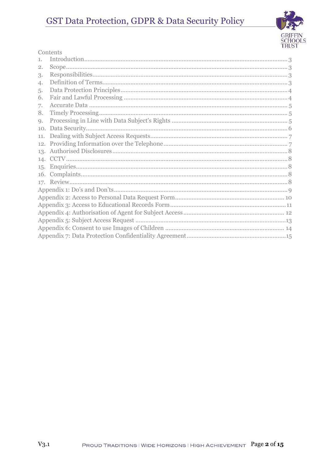# GST Data Protection, GDPR & Data Security Policy



#### Contents

| 1.          |  |
|-------------|--|
| 2.          |  |
| 3.          |  |
| 4.          |  |
| 5.          |  |
| 6.          |  |
| 7.          |  |
| 8.          |  |
| $Q_{\star}$ |  |
| 10.         |  |
| 11.         |  |
| 12.         |  |
|             |  |
|             |  |
|             |  |
|             |  |
|             |  |
|             |  |
|             |  |
|             |  |
|             |  |
|             |  |
|             |  |
|             |  |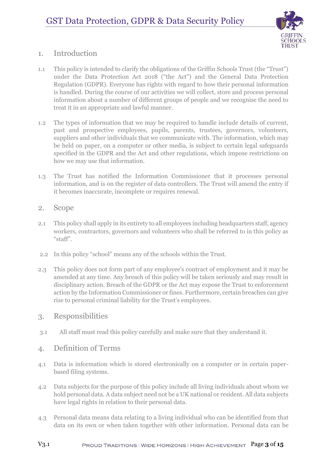

# <span id="page-2-0"></span>1. Introduction

- 1.1 This policy is intended to clarify the obligations of the Griffin Schools Trust (the "Trust") under the Data Protection Act 2018 ("the Act") and the General Data Protection Regulation (GDPR). Everyone has rights with regard to how their personal information is handled. During the course of our activities we will collect, store and process personal information about a number of different groups of people and we recognise the need to treat it in an appropriate and lawful manner.
- 1.2 The types of information that we may be required to handle include details of current, past and prospective employees, pupils, parents, trustees, governors, volunteers, suppliers and other individuals that we communicate with. The information, which may be held on paper, on a computer or other media, is subject to certain legal safeguards specified in the GDPR and the Act and other regulations, which impose restrictions on how we may use that information.
- 1.3 The Trust has notified the Information Commissioner that it processes personal information, and is on the register of data controllers. The Trust will amend the entry if it becomes inaccurate, incomplete or requires renewal.
- <span id="page-2-1"></span>2. Scope
- 2.1 This policy shall apply in its entirety to all employees including headquarters staff, agency workers, contractors, governors and volunteers who shall be referred to in this policy as "staff".
- 2.2 In this policy "school" means any of the schools within the Trust.
- 2.3 This policy does not form part of any employee's contract of employment and it may be amended at any time. Any breach of this policy will be taken seriously and may result in disciplinary action. Breach of the GDPR or the Act may expose the Trust to enforcement action by the Information Commissioner or fines. Furthermore, certain breaches can give rise to personal criminal liability for the Trust's employees.

### <span id="page-2-2"></span>3. Responsibilities

3.1 All staff must read this policy carefully and make sure that they understand it.

### <span id="page-2-3"></span>4. Definition of Terms

- 4.1 Data is information which is stored electronically on a computer or in certain paperbased filing systems.
- 4.2 Data subjects for the purpose of this policy include all living individuals about whom we hold personal data. A data subject need not be a UK national or resident. All data subjects have legal rights in relation to their personal data.
- 4.3 Personal data means data relating to a living individual who can be identified from that data on its own or when taken together with other information. Personal data can be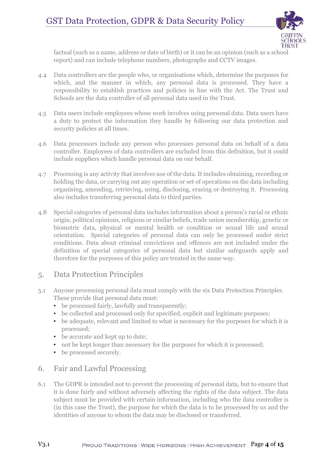

factual (such as a name, address or date of birth) or it can be an opinion (such as a school report) and can include telephone numbers, photographs and CCTV images.

- 4.4 Data controllers are the people who, or organisations which, determine the purposes for which, and the manner in which, any personal data is processed. They have a responsibility to establish practices and policies in line with the Act. The Trust and Schools are the data controller of all personal data used in the Trust.
- 4.5 Data users include employees whose work involves using personal data. Data users have a duty to protect the information they handle by following our data protection and security policies at all times.
- 4.6 Data processors include any person who processes personal data on behalf of a data controller. Employees of data controllers are excluded from this definition, but it could include suppliers which handle personal data on our behalf.
- 4.7 Processing is any activity that involves use of the data. It includes obtaining, recording or holding the data, or carrying out any operation or set of operations on the data including organising, amending, retrieving, using, disclosing, erasing or destroying it. Processing also includes transferring personal data to third parties.
- 4.8 Special categories of personal data includes information about a person's racial or ethnic origin, political opinions, religious or similar beliefs, trade union membership, genetic or biometric data, physical or mental health or condition or sexual life and sexual orientation. Special categories of personal data can only be processed under strict conditions. Data about criminal convictions and offences are not included under the definition of special categories of personal data but similar safeguards apply and therefore for the purposes of this policy are treated in the same way.

# <span id="page-3-0"></span>5. Data Protection Principles

- 5.1 Anyone processing personal data must comply with the six Data Protection Principles. These provide that personal data must:
	- be processed fairly, lawfully and transparently;
	- be collected and processed only for specified, explicit and legitimate purposes;
	- be adequate, relevant and limited to what is necessary for the purposes for which it is processed;
	- be accurate and kept up to date;
	- not be kept longer than necessary for the purposes for which it is processed;
	- be processed securely.

### <span id="page-3-1"></span>6. Fair and Lawful Processing

6.1 The GDPR is intended not to prevent the processing of personal data, but to ensure that it is done fairly and without adversely affecting the rights of the data subject. The data subject must be provided with certain information, including who the data controller is (in this case the Trust), the purpose for which the data is to be processed by us and the identities of anyone to whom the data may be disclosed or transferred.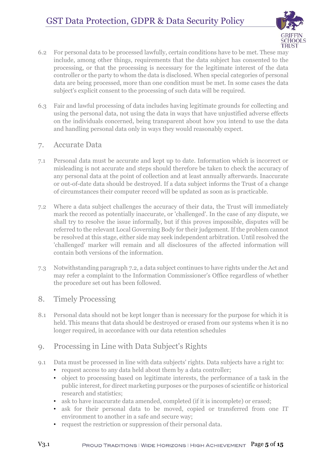

- 6.2 For personal data to be processed lawfully, certain conditions have to be met. These may include, among other things, requirements that the data subject has consented to the processing, or that the processing is necessary for the legitimate interest of the data controller or the party to whom the data is disclosed. When special categories of personal data are being processed, more than one condition must be met. In some cases the data subject's explicit consent to the processing of such data will be required.
- 6.3 Fair and lawful processing of data includes having legitimate grounds for collecting and using the personal data, not using the data in ways that have unjustified adverse effects on the individuals concerned, being transparent about how you intend to use the data and handling personal data only in ways they would reasonably expect.

### <span id="page-4-0"></span>7. Accurate Data

- 7.1 Personal data must be accurate and kept up to date. Information which is incorrect or misleading is not accurate and steps should therefore be taken to check the accuracy of any personal data at the point of collection and at least annually afterwards. Inaccurate or out-of-date data should be destroyed. If a data subject informs the Trust of a change of circumstances their computer record will be updated as soon as is practicable.
- 7.2 Where a data subject challenges the accuracy of their data, the Trust will immediately mark the record as potentially inaccurate, or 'challenged'. In the case of any dispute, we shall try to resolve the issue informally, but if this proves impossible, disputes will be referred to the relevant Local Governing Body for their judgement. If the problem cannot be resolved at this stage, either side may seek independent arbitration. Until resolved the 'challenged' marker will remain and all disclosures of the affected information will contain both versions of the information.
- 7.3 Notwithstanding paragraph 7.2, a data subject continues to have rights under the Act and may refer a complaint to the Information Commissioner's Office regardless of whether the procedure set out has been followed.

### <span id="page-4-1"></span>8. Timely Processing

8.1 Personal data should not be kept longer than is necessary for the purpose for which it is held. This means that data should be destroyed or erased from our systems when it is no longer required, in accordance with our data retention schedules

# <span id="page-4-2"></span>9. Processing in Line with Data Subject's Rights

- 9.1 Data must be processed in line with data subjects' rights. Data subjects have a right to:
	- request access to any data held about them by a data controller;
	- object to processing based on legitimate interests, the performance of a task in the public interest, for direct marketing purposes or the purposes of scientific or historical research and statistics;
	- ask to have inaccurate data amended, completed (if it is incomplete) or erased;
	- ask for their personal data to be moved, copied or transferred from one IT environment to another in a safe and secure way;
	- request the restriction or suppression of their personal data.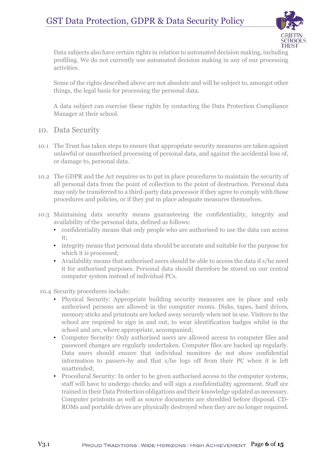# GST Data Protection, GDPR & Data Security Policy



Data subjects also have certain rights in relation to automated decision making, including profiling. We do not currently use automated decision making in any of our processing activities.

Some of the rights described above are not absolute and will be subject to, amongst other things, the legal basis for processing the personal data.

A data subject can exercise these rights by contacting the Data Protection Compliance Manager at their school.

- <span id="page-5-0"></span>10. Data Security
- 10.1 The Trust has taken steps to ensure that appropriate security measures are taken against unlawful or unauthorised processing of personal data, and against the accidental loss of, or damage to, personal data.
- 10.2 The GDPR and the Act requires us to put in place procedures to maintain the security of all personal data from the point of collection to the point of destruction. Personal data may only be transferred to a third-party data processor if they agree to comply with those procedures and policies, or if they put in place adequate measures themselves.
- 10.3 Maintaining data security means guaranteeing the confidentiality, integrity and availability of the personal data, defined as follows:
	- confidentiality means that only people who are authorised to use the data can access it;
	- integrity means that personal data should be accurate and suitable for the purpose for which it is processed;
	- Availability means that authorised users should be able to access the data if s/he need it for authorised purposes. Personal data should therefore be stored on our central computer system instead of individual PCs.

10.4 Security procedures include:

- Physical Security: Appropriate building security measures are in place and only authorised persons are allowed in the computer rooms. Disks, tapes, hard drives, memory sticks and printouts are locked away securely when not in use. Visitors to the school are required to sign in and out, to wear identification badges whilst in the school and are, where appropriate, accompanied;
- Computer Security: Only authorised users are allowed access to computer files and password changes are regularly undertaken. Computer files are backed up regularly. Data users should ensure that individual monitors do not show confidential information to passers-by and that s/he logs off from their PC when it is left unattended;
- Procedural Security: In order to be given authorised access to the computer systems, staff will have to undergo checks and will sign a confidentiality agreement. Staff are trained in their Data Protection obligations and their knowledge updated as necessary. Computer printouts as well as source documents are shredded before disposal. CD-ROMs and portable drives are physically destroyed when they are no longer required.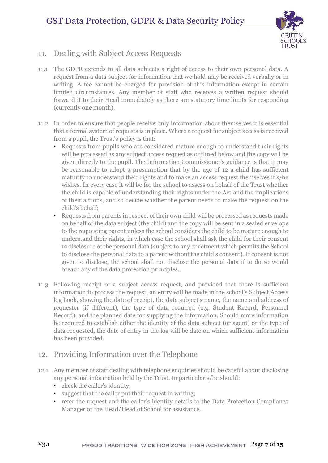

# <span id="page-6-0"></span>11. Dealing with Subject Access Requests

- 11.1 The GDPR extends to all data subjects a right of access to their own personal data. A request from a data subject for information that we hold may be received verbally or in writing. A fee cannot be charged for provision of this information except in certain limited circumstances. Any member of staff who receives a written request should forward it to their Head immediately as there are statutory time limits for responding (currently one month).
- 11.2 In order to ensure that people receive only information about themselves it is essential that a formal system of requests is in place. Where a request for subject access is received from a pupil, the Trust's policy is that:
	- Requests from pupils who are considered mature enough to understand their rights will be processed as any subject access request as outlined below and the copy will be given directly to the pupil. The Information Commissioner's guidance is that it may be reasonable to adopt a presumption that by the age of 12 a child has sufficient maturity to understand their rights and to make an access request themselves if s/he wishes. In every case it will be for the school to assess on behalf of the Trust whether the child is capable of understanding their rights under the Act and the implications of their actions, and so decide whether the parent needs to make the request on the child's behalf;
	- Requests from parents in respect of their own child will be processed as requests made on behalf of the data subject (the child) and the copy will be sent in a sealed envelope to the requesting parent unless the school considers the child to be mature enough to understand their rights, in which case the school shall ask the child for their consent to disclosure of the personal data (subject to any enactment which permits the School to disclose the personal data to a parent without the child's consent). If consent is not given to disclose, the school shall not disclose the personal data if to do so would breach any of the data protection principles.
- 11.3 Following receipt of a subject access request, and provided that there is sufficient information to process the request, an entry will be made in the school's Subject Access log book, showing the date of receipt, the data subject's name, the name and address of requester (if different), the type of data required (e.g. Student Record, Personnel Record), and the planned date for supplying the information. Should more information be required to establish either the identity of the data subject (or agent) or the type of data requested, the date of entry in the log will be date on which sufficient information has been provided.

# <span id="page-6-1"></span>12. Providing Information over the Telephone

- 12.1 Any member of staff dealing with telephone enquiries should be careful about disclosing any personal information held by the Trust. In particular s/he should:
	- check the caller's identity;
	- suggest that the caller put their request in writing;
	- refer the request and the caller's identity details to the Data Protection Compliance Manager or the Head/Head of School for assistance.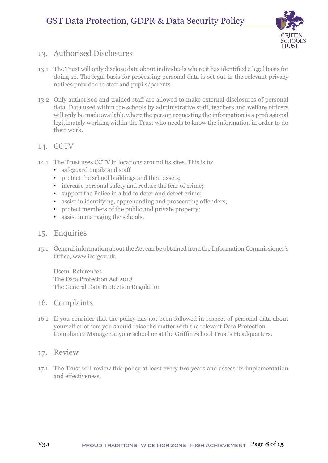

## <span id="page-7-0"></span>13. Authorised Disclosures

- 13.1 The Trust will only disclose data about individuals where it has identified a legal basis for doing so. The legal basis for processing personal data is set out in the relevant privacy notices provided to staff and pupils/parents.
- 13.2 Only authorised and trained staff are allowed to make external disclosures of personal data. Data used within the schools by administrative staff, teachers and welfare officers will only be made available where the person requesting the information is a professional legitimately working within the Trust who needs to know the information in order to do their work.

### <span id="page-7-1"></span>14. CCTV

- 14.1 The Trust uses CCTV in locations around its sites. This is to:
	- safeguard pupils and staff
	- protect the school buildings and their assets;
	- increase personal safety and reduce the fear of crime;
	- support the Police in a bid to deter and detect crime;
	- assist in identifying, apprehending and prosecuting offenders;
	- protect members of the public and private property:
	- assist in managing the schools.

### <span id="page-7-2"></span>15. Enquiries

15.1 General information about the Act can be obtained from the Information Commissioner's Office, www.ico.gov.uk.

Useful References The Data Protection Act 2018 The General Data Protection Regulation

### <span id="page-7-3"></span>16. Complaints

16.1 If you consider that the policy has not been followed in respect of personal data about yourself or others you should raise the matter with the relevant Data Protection Compliance Manager at your school or at the Griffin School Trust's Headquarters.

### <span id="page-7-4"></span>17. Review

17.1 The Trust will review this policy at least every two years and assess its implementation and effectiveness.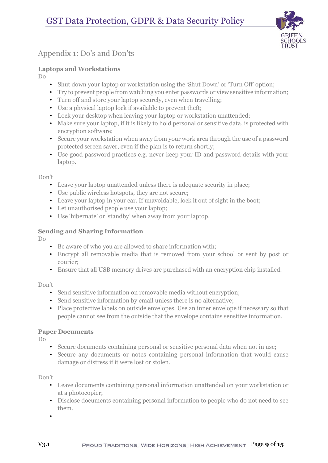

# <span id="page-8-0"></span>Appendix 1: Do's and Don'ts

### **Laptops and Workstations**

Do

- Shut down your laptop or workstation using the 'Shut Down' or 'Turn Off' option;
- Try to prevent people from watching you enter passwords or view sensitive information;
- Turn off and store your laptop securely, even when travelling;
- Use a physical laptop lock if available to prevent theft;
- Lock your desktop when leaving your laptop or workstation unattended;
- Make sure your laptop, if it is likely to hold personal or sensitive data, is protected with encryption software;
- Secure your workstation when away from your work area through the use of a password protected screen saver, even if the plan is to return shortly;
- Use good password practices e.g. never keep your ID and password details with your laptop.

#### Don't

- Leave your laptop unattended unless there is adequate security in place;
- Use public wireless hotspots, they are not secure;
- Leave your laptop in your car. If unavoidable, lock it out of sight in the boot;
- Let unauthorised people use your laptop;
- Use 'hibernate' or 'standby' when away from your laptop.

### **Sending and Sharing Information**

Do

- Be aware of who you are allowed to share information with;
- Encrypt all removable media that is removed from your school or sent by post or courier;
- Ensure that all USB memory drives are purchased with an encryption chip installed.

### Don't

- Send sensitive information on removable media without encryption;
- Send sensitive information by email unless there is no alternative;
- Place protective labels on outside envelopes. Use an inner envelope if necessary so that people cannot see from the outside that the envelope contains sensitive information.

### **Paper Documents**

Do

- Secure documents containing personal or sensitive personal data when not in use;
- Secure any documents or notes containing personal information that would cause damage or distress if it were lost or stolen.

### Don't

- Leave documents containing personal information unattended on your workstation or at a photocopier;
- Disclose documents containing personal information to people who do not need to see them.

•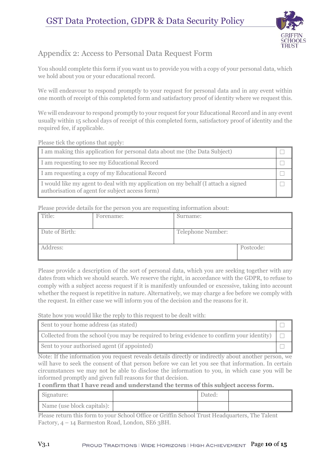

# <span id="page-9-0"></span>Appendix 2: Access to Personal Data Request Form

You should complete this form if you want us to provide you with a copy of your personal data, which we hold about you or your educational record.

We will endeavour to respond promptly to your request for personal data and in any event within one month of receipt of this completed form and satisfactory proof of identity where we request this.

We will endeavour to respond promptly to your request for your Educational Record and in any event usually within 15 school days of receipt of this completed form, satisfactory proof of identity and the required fee, if applicable.

Please tick the options that apply:

| I am making this application for personal data about me (the Data Subject)                                                           |  |
|--------------------------------------------------------------------------------------------------------------------------------------|--|
| I am requesting to see my Educational Record                                                                                         |  |
| I am requesting a copy of my Educational Record                                                                                      |  |
| I would like my agent to deal with my application on my behalf (I attach a signed<br>authorisation of agent for subject access form) |  |

Please provide details for the person you are requesting information about:

| Title:         | Forename: | Surname:          |           |
|----------------|-----------|-------------------|-----------|
| Date of Birth: |           | Telephone Number: |           |
| Address:       |           |                   | Postcode: |

Please provide a description of the sort of personal data, which you are seeking together with any dates from which we should search. We reserve the right, in accordance with the GDPR, to refuse to comply with a subject access request if it is manifestly unfounded or excessive, taking into account whether the request is repetitive in nature. Alternatively, we may charge a fee before we comply with the request. In either case we will inform you of the decision and the reasons for it.

State how you would like the reply to this request to be dealt with:

| Sent to your home address (as stated)                                                             |  |
|---------------------------------------------------------------------------------------------------|--|
| Collected from the school (you may be required to bring evidence to confirm your identity) $\Box$ |  |
| Sent to your authorised agent (if appointed)                                                      |  |

Note: If the information you request reveals details directly or indirectly about another person, we will have to seek the consent of that person before we can let you see that information. In certain circumstances we may not be able to disclose the information to you, in which case you will be informed promptly and given full reasons for that decision.

#### **I confirm that I have read and understand the terms of this subject access form.**

| Signature:                 | Dated: |  |
|----------------------------|--------|--|
| Name (use block capitals): |        |  |

Please return this form to your School Office or Griffin School Trust Headquarters, The Talent Factory, 4 – 14 Barmeston Road, London, SE6 3BH.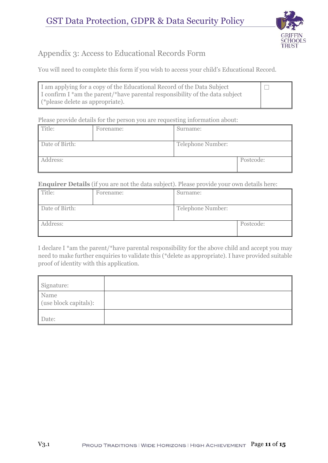

# <span id="page-10-0"></span>Appendix 3: Access to Educational Records Form

You will need to complete this form if you wish to access your child's Educational Record.

| I am applying for a copy of the Educational Record of the Data Subject       | $\Box$ |
|------------------------------------------------------------------------------|--------|
| I confirm I *am the parent/*have parental responsibility of the data subject |        |
| (*please delete as appropriate).                                             |        |

Please provide details for the person you are requesting information about:

| Title:         | Forename: | Surname:          |           |
|----------------|-----------|-------------------|-----------|
| Date of Birth: |           | Telephone Number: |           |
| Address:       |           |                   | Postcode: |

**Enquirer Details** (if you are not the data subject). Please provide your own details here:

| Title:         | Forename: | Surname:          |           |
|----------------|-----------|-------------------|-----------|
| Date of Birth: |           | Telephone Number: |           |
| Address:       |           |                   | Postcode: |

I declare I \*am the parent/\*have parental responsibility for the above child and accept you may need to make further enquiries to validate this (\*delete as appropriate). I have provided suitable proof of identity with this application.

| Signature:                    |  |
|-------------------------------|--|
| Name<br>(use block capitals): |  |
| Date:                         |  |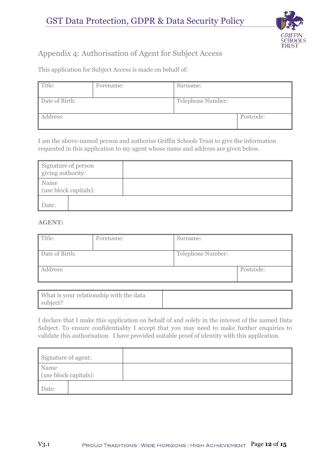

# <span id="page-11-0"></span>Appendix 4: Authorisation of Agent for Subject Access

This application for Subject Access is made on behalf of:

| Title:         | Forename: | Surname:          |           |
|----------------|-----------|-------------------|-----------|
| Date of Birth: |           | Telephone Number: |           |
| Address:       |           |                   | Postcode: |

I am the above-named person and authorise Griffin Schools Trust to give the information requested in this application to my agent whose name and address are given below.

| Signature of person<br>giving authority: |  |
|------------------------------------------|--|
| Name<br>(use block capitals):            |  |
| Date:                                    |  |

#### **AGENT:**

| Title:         | Forename: | Surname:          |           |
|----------------|-----------|-------------------|-----------|
| Date of Birth: |           | Telephone Number: |           |
| Address:       |           |                   | Postcode: |

| What is your relationship with the data |  |
|-----------------------------------------|--|
| subject?                                |  |

I declare that I make this application on behalf of and solely in the interest of the named Data Subject. To ensure confidentiality I accept that you may need to make further enquiries to validate this authorisation. I have provided suitable proof of identity with this application.

| Signature of agent:           |  |
|-------------------------------|--|
| Name<br>(use block capitals): |  |
| Date:                         |  |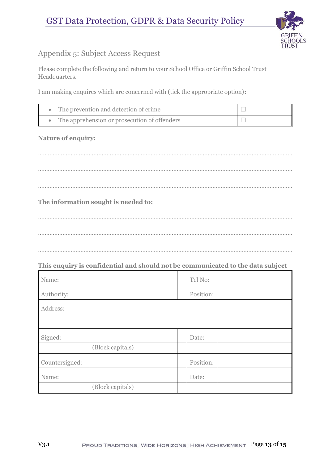

# <span id="page-12-0"></span>Appendix 5: Subject Access Request

Please complete the following and return to your School Office or Griffin School Trust Headquarters.

I am making enquires which are concerned with (tick the appropriate option)**:** 

| The prevention and detection of crime        |  |
|----------------------------------------------|--|
| The apprehension or prosecution of offenders |  |

### **Nature of enquiry:**

………………………………………………………………………………………………………………………………………… ………………………………………………………………………………………………………………………………………… …………………………………………………………………………………………………………………………………………

### **The information sought is needed to:**

………………………………………………………………………………………………………………………………………… …………………………………………………………………………………………………………………………………………

…………………………………………………………………………………………………………………………………………

### **This enquiry is confidential and should not be communicated to the data subject**

| Name:          |                  | Tel No:   |  |
|----------------|------------------|-----------|--|
| Authority:     |                  | Position: |  |
| Address:       |                  |           |  |
|                |                  |           |  |
| Signed:        |                  | Date:     |  |
|                | (Block capitals) |           |  |
| Countersigned: |                  | Position: |  |
| Name:          |                  | Date:     |  |
|                | (Block capitals) |           |  |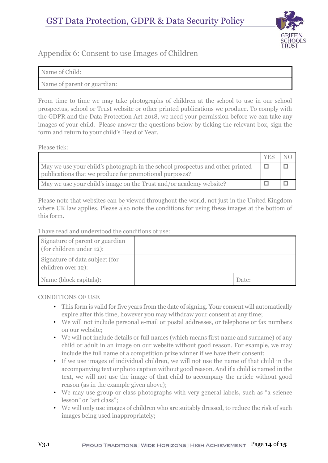

# <span id="page-13-0"></span>Appendix 6: Consent to use Images of Children

| Name of Child:              |  |
|-----------------------------|--|
| Name of parent or guardian: |  |

From time to time we may take photographs of children at the school to use in our school prospectus, school or Trust website or other printed publications we produce. To comply with the GDPR and the Data Protection Act 2018, we need your permission before we can take any images of your child. Please answer the questions below by ticking the relevant box, sign the form and return to your child's Head of Year.

Please tick:

|                                                                                                                                         | YE. |  |
|-----------------------------------------------------------------------------------------------------------------------------------------|-----|--|
| May we use your child's photograph in the school prospectus and other printed<br>publications that we produce for promotional purposes? |     |  |
| May we use your child's image on the Trust and/or academy website?                                                                      |     |  |

Please note that websites can be viewed throughout the world, not just in the United Kingdom where UK law applies. Please also note the conditions for using these images at the bottom of this form.

I have read and understood the conditions of use:

| Signature of parent or guardian<br>(for children under 12): |       |
|-------------------------------------------------------------|-------|
| Signature of data subject (for<br>children over 12):        |       |
| Name (block capitals):                                      | Date: |

CONDITIONS OF USE

- This form is valid for five years from the date of signing. Your consent will automatically expire after this time, however you may withdraw your consent at any time;
- We will not include personal e-mail or postal addresses, or telephone or fax numbers on our website;
- We will not include details or full names (which means first name and surname) of any child or adult in an image on our website without good reason. For example, we may include the full name of a competition prize winner if we have their consent;
- If we use images of individual children, we will not use the name of that child in the accompanying text or photo caption without good reason. And if a child is named in the text, we will not use the image of that child to accompany the article without good reason (as in the example given above);
- We may use group or class photographs with very general labels, such as "a science lesson" or "art class";
- We will only use images of children who are suitably dressed, to reduce the risk of such images being used inappropriately;